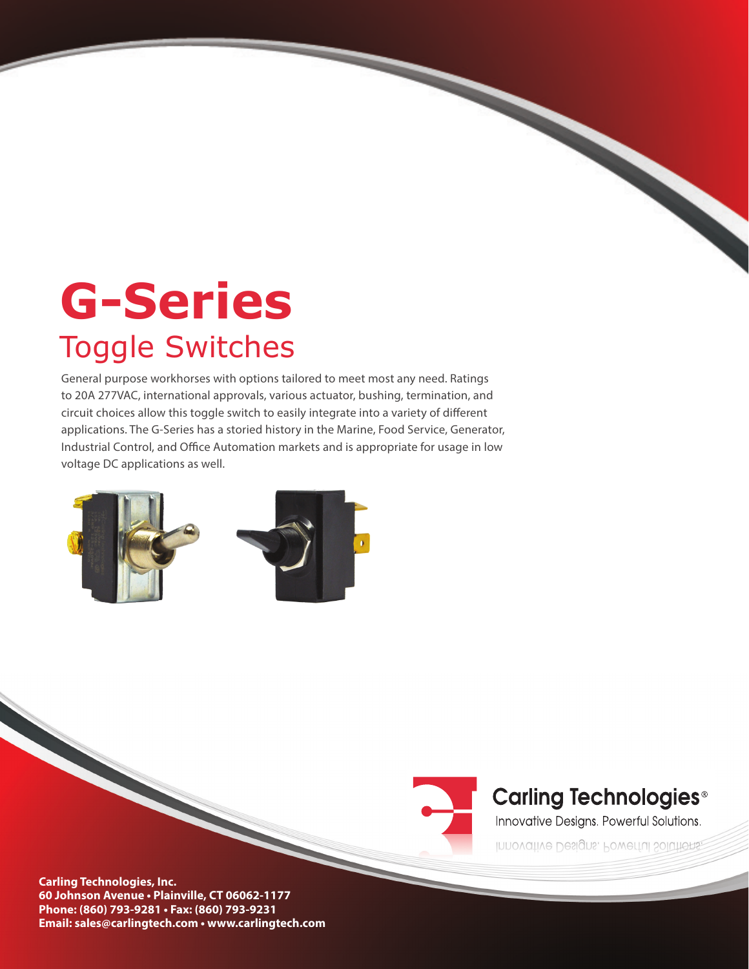# **G-Series**  Toggle Switches

General purpose workhorses with options tailored to meet most any need. Ratings to 20A 277VAC, international approvals, various actuator, bushing, termination, and circuit choices allow this toggle switch to easily integrate into a variety of different applications. The G-Series has a storied history in the Marine, Food Service, Generator, Industrial Control, and Office Automation markets and is appropriate for usage in low voltage DC applications as well.





## **Carling Technologies®**

Innovative Designs. Powerful Solutions.

Innovative Designs. Powerful Solutions,

**Carling Technologies, Inc. 60 Johnson Avenue • Plainville, CT 06062-1177 Phone: (860) 793-9281 • Fax: (860) 793-9231 Email: sales@carlingtech.com • www.carlingtech.com**